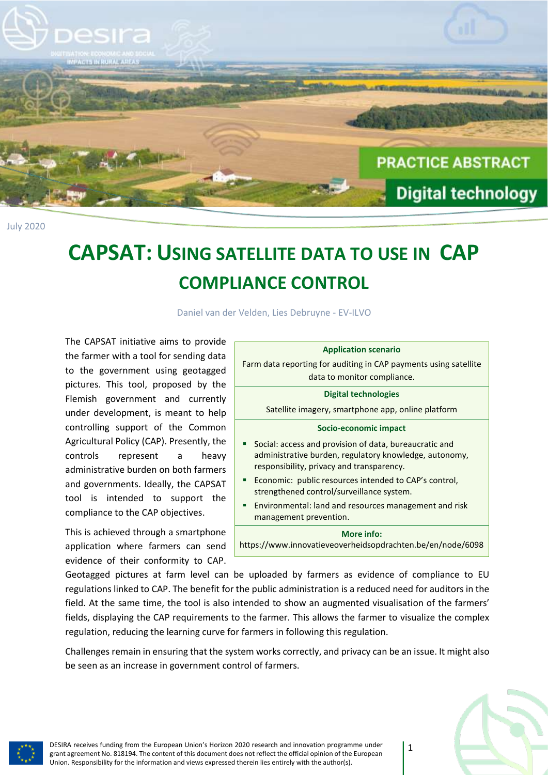

## **CAPSAT: USING SATELLITE DATA TO USE IN CAP COMPLIANCE CONTROL**

Daniel van der Velden, Lies Debruyne - EV-ILVO

The CAPSAT initiative aims to provide the farmer with a tool for sending data to the government using geotagged pictures. This tool, proposed by the Flemish government and currently under development, is meant to help controlling support of the Common Agricultural Policy (CAP). Presently, the controls represent a heavy administrative burden on both farmers and governments. Ideally, the CAPSAT tool is intended to support the compliance to the CAP objectives.

This is achieved through a smartphone application where farmers can send evidence of their conformity to CAP.

| <b>Application scenario</b>                                                                                                                                   |
|---------------------------------------------------------------------------------------------------------------------------------------------------------------|
| Farm data reporting for auditing in CAP payments using satellite                                                                                              |
| data to monitor compliance.                                                                                                                                   |
| Digital technologies                                                                                                                                          |
| Satellite imagery, smartphone app, online platform                                                                                                            |
| Socio-economic impact                                                                                                                                         |
| Social: access and provision of data, bureaucratic and<br>administrative burden, regulatory knowledge, autonomy,<br>responsibility, privacy and transparency. |
| Economic: public resources intended to CAP's control,<br>strengthened control/surveillance system.                                                            |
| Environmental: land and resources management and risk<br>management prevention.                                                                               |
| <b>More info:</b>                                                                                                                                             |

https://www.innovatieveoverheidsopdrachten.be/en/node/6098

Geotagged pictures at farm level can be uploaded by farmers as evidence of compliance to EU regulations linked to CAP. The benefit for the public administration is a reduced need for auditors in the field. At the same time, the tool is also intended to show an augmented visualisation of the farmers' fields, displaying the CAP requirements to the farmer. This allows the farmer to visualize the complex regulation, reducing the learning curve for farmers in following this regulation.

Challenges remain in ensuring that the system works correctly, and privacy can be an issue. It might also be seen as an increase in government control of farmers.



1